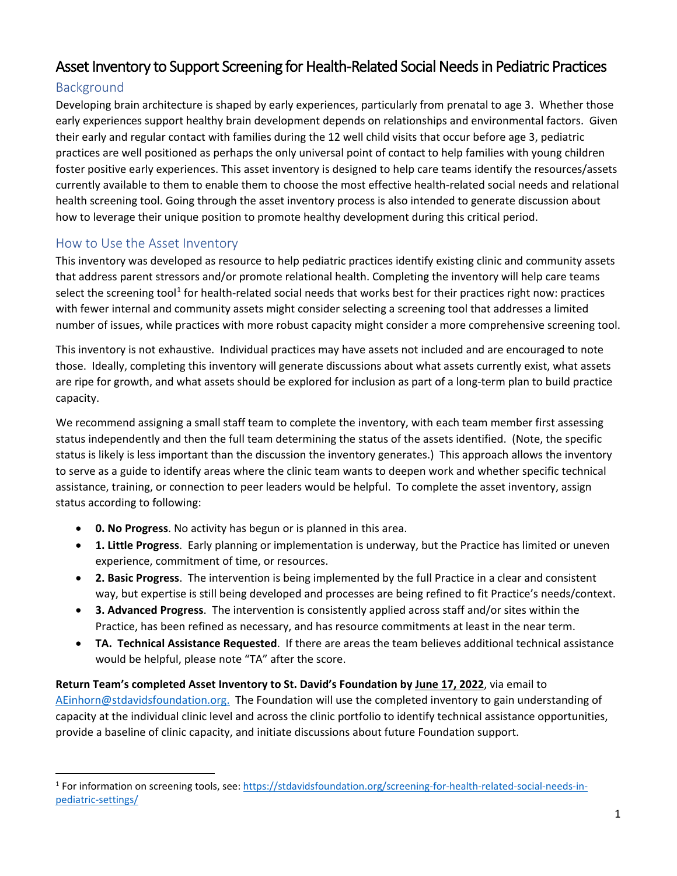# Asset Inventory to Support Screening for Health-Related Social Needs in Pediatric Practices

## Background

Developing brain architecture is shaped by early experiences, particularly from prenatal to age 3. Whether those early experiences support healthy brain development depends on relationships and environmental factors. Given their early and regular contact with families during the 12 well child visits that occur before age 3, pediatric practices are well positioned as perhaps the only universal point of contact to help families with young children foster positive early experiences. This asset inventory is designed to help care teams identify the resources/assets currently available to them to enable them to choose the most effective health-related social needs and relational health screening tool. Going through the asset inventory process is also intended to generate discussion about how to leverage their unique position to promote healthy development during this critical period.

### How to Use the Asset Inventory

This inventory was developed as resource to help pediatric practices identify existing clinic and community assets that address parent stressors and/or promote relational health. Completing the inventory will help care teams select the screening tool<sup>[1](#page-0-0)</sup> for health-related social needs that works best for their practices right now: practices with fewer internal and community assets might consider selecting a screening tool that addresses a limited number of issues, while practices with more robust capacity might consider a more comprehensive screening tool.

This inventory is not exhaustive. Individual practices may have assets not included and are encouraged to note those. Ideally, completing this inventory will generate discussions about what assets currently exist, what assets are ripe for growth, and what assets should be explored for inclusion as part of a long-term plan to build practice capacity.

We recommend assigning a small staff team to complete the inventory, with each team member first assessing status independently and then the full team determining the status of the assets identified. (Note, the specific status is likely is less important than the discussion the inventory generates.) This approach allows the inventory to serve as a guide to identify areas where the clinic team wants to deepen work and whether specific technical assistance, training, or connection to peer leaders would be helpful. To complete the asset inventory, assign status according to following:

- **0. No Progress**. No activity has begun or is planned in this area.
- **1. Little Progress**. Early planning or implementation is underway, but the Practice has limited or uneven experience, commitment of time, or resources.
- **2. Basic Progress**. The intervention is being implemented by the full Practice in a clear and consistent way, but expertise is still being developed and processes are being refined to fit Practice's needs/context.
- **3. Advanced Progress**. The intervention is consistently applied across staff and/or sites within the Practice, has been refined as necessary, and has resource commitments at least in the near term.
- **TA. Technical Assistance Requested**. If there are areas the team believes additional technical assistance would be helpful, please note "TA" after the score.

**Return Team's completed Asset Inventory to St. David's Foundation by June 17, 2022**, via email to [AEinhorn@stdavidsfoundation.org.](mailto:AEinhorn@stdavidsfoundation.org) The Foundation will use the completed inventory to gain understanding of capacity at the individual clinic level and across the clinic portfolio to identify technical assistance opportunities, provide a baseline of clinic capacity, and initiate discussions about future Foundation support.

<span id="page-0-0"></span><sup>1</sup> For information on screening tools, see: [https://stdavidsfoundation.org/screening-for-health-related-social-needs-in](https://stdavidsfoundation.org/screening-for-health-related-social-needs-in-pediatric-settings/)[pediatric-settings/](https://stdavidsfoundation.org/screening-for-health-related-social-needs-in-pediatric-settings/)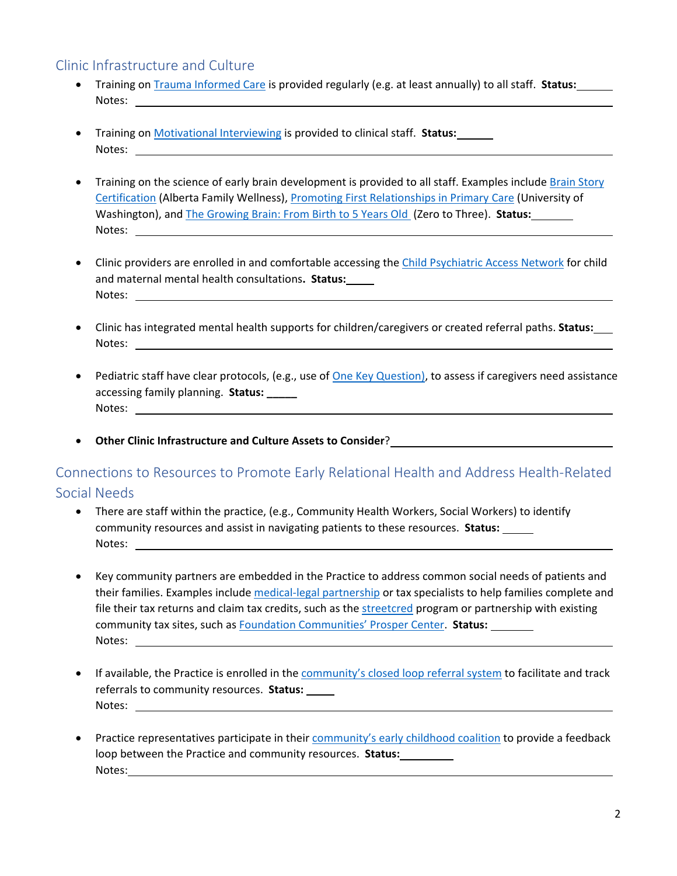#### Clinic Infrastructure and Culture

- Training on [Trauma Informed Care](https://publications.aap.org/pediatrics/article/148/2/e2021052580/179745/Trauma-Informed-Care) is provided regularly (e.g. at least annually) to all staff. **Status:**  Notes:
- Training on [Motivational Interviewing](https://txpeds.org/motivational-interviewing) is provided to clinical staff. **Status:** Notes: when the contract of the contract of the contract of the contract of the contract of the contract of the contract of the contract of the contract of the contract of the contract of the contract of the contract of th
- Training on the science of early brain development is provided to all staff. Examples include Brain Story [Certification \(](https://www.albertafamilywellness.org/training/)Alberta Family Wellness), [Promoting First Relationships in Primary Care](https://www.pcrprograms.org/product/promoting-first-relationships-in-pediatric-primary-care/) (University of Washington), and [The Growing Brain: From Birth to 5 Years Old \(](https://www.zerotothree.org/resources/1831-the-growing-brain-from-birth-to-5-years-old-a-training-curriculum-for-early-childhood-professionals)Zero to Three). **Status:** Notes: when the contract of the contract of the contract of the contract of the contract of the contract of the contract of the contract of the contract of the contract of the contract of the contract of the contract of th
- Clinic providers are enrolled in and comfortable accessing the [Child Psychiatric Access Network](https://tcmhcc.utsystem.edu/cpan/) for child and maternal mental health consultations**. Status:** Notes:
- Clinic has integrated mental health supports for children/caregivers or created referral paths. **Status:** Notes:
- Pediatric staff have clear protocols, (e.g., use of [One Key Question\)](https://powertodecide.org/one-key-question), to assess if caregivers need assistance accessing family planning. **Status: \_\_\_\_\_** Notes:
- **Other Clinic Infrastructure and Culture Assets to Consider**?

## Connections to Resources to Promote Early Relational Health and Address Health-Related Social Needs

- There are staff within the practice, (e.g., Community Health Workers, Social Workers) to identify community resources and assist in navigating patients to these resources. **Status:**  Notes:
- Key community partners are embedded in the Practice to address common social needs of patients and their families. Examples include [medical-legal partnership](https://medical-legalpartnership.org/) or tax specialists to help families complete and file their tax returns and claim tax credits, such as th[e streetcred](https://www.bmc.org/streetcred#:%7E:text=StreetCred%20is%20an%20innovative%20program,EITC)%20and%20Child%20Tax%20Credit.) program or partnership with existing community tax sites, such as [Foundation Communities' Prosper Center.](https://foundcom.org/prosper-centers/austin-tax-help/) **Status:**  Notes:
- If available, the Practice is enrolled in th[e community's closed loop referral system](https://stdavidsfoundation.org/wp-content/uploads/2022/04/Early-Childhood-Resources-for-Pediatric-Practices-in-Central-Texas-by-County.pdf) to facilitate and track referrals to community resources. **Status:** Notes:
- Practice representatives participate in their community's [early childhood coalition](https://stdavidsfoundation.org/wp-content/uploads/2022/04/Early-Childhood-Resources-for-Pediatric-Practices-in-Central-Texas-by-County.pdf) to provide a feedback loop between the Practice and community resources. **Status:** Notes: